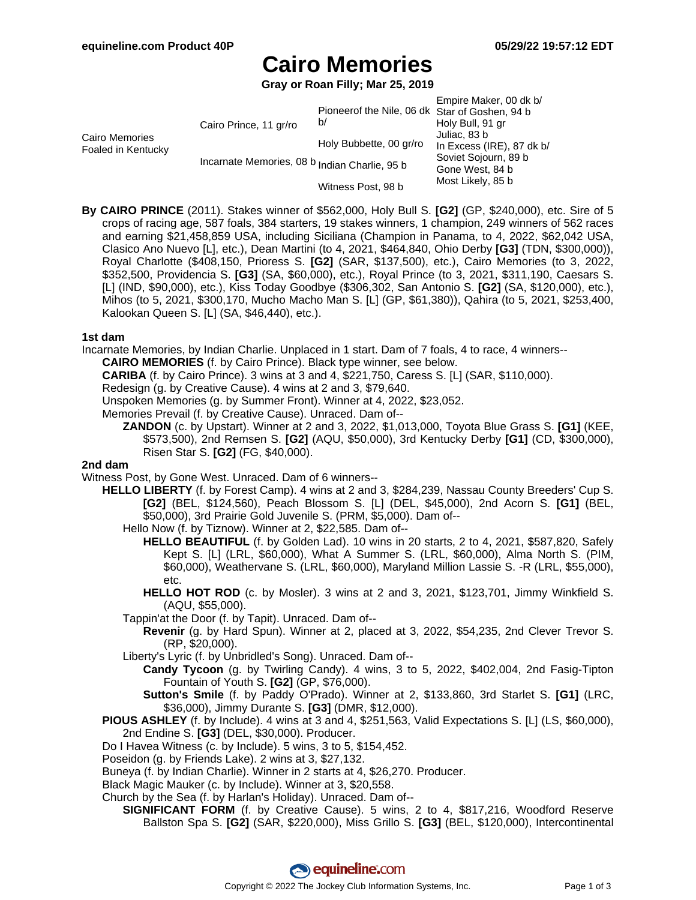# **Cairo Memories**

**Gray or Roan Filly; Mar 25, 2019**

|                                      |                                               |                                                      | Empire Maker, 00 dk b/    |
|--------------------------------------|-----------------------------------------------|------------------------------------------------------|---------------------------|
| Cairo Memories<br>Foaled in Kentucky | Cairo Prince, 11 gr/ro                        | Pioneerof the Nile, 06 dk Star of Goshen, 94 b<br>b/ |                           |
|                                      |                                               |                                                      | Holy Bull, 91 gr          |
|                                      |                                               | Holy Bubbette, 00 gr/ro                              | Juliac, 83 b              |
|                                      |                                               |                                                      | In Excess (IRE), 87 dk b/ |
|                                      | Incarnate Memories, 08 b Indian Charlie, 95 b |                                                      | Soviet Sojourn, 89 b      |
|                                      |                                               |                                                      | Gone West, 84 b           |
|                                      |                                               | Witness Post, 98 b                                   | Most Likely, 85 b         |

**By CAIRO PRINCE** (2011). Stakes winner of \$562,000, Holy Bull S. **[G2]** (GP, \$240,000), etc. Sire of 5 crops of racing age, 587 foals, 384 starters, 19 stakes winners, 1 champion, 249 winners of 562 races and earning \$21,458,859 USA, including Siciliana (Champion in Panama, to 4, 2022, \$62,042 USA, Clasico Ano Nuevo [L], etc.), Dean Martini (to 4, 2021, \$464,840, Ohio Derby **[G3]** (TDN, \$300,000)), Royal Charlotte (\$408,150, Prioress S. **[G2]** (SAR, \$137,500), etc.), Cairo Memories (to 3, 2022, \$352,500, Providencia S. **[G3]** (SA, \$60,000), etc.), Royal Prince (to 3, 2021, \$311,190, Caesars S. [L] (IND, \$90,000), etc.), Kiss Today Goodbye (\$306,302, San Antonio S. **[G2]** (SA, \$120,000), etc.), Mihos (to 5, 2021, \$300,170, Mucho Macho Man S. [L] (GP, \$61,380)), Qahira (to 5, 2021, \$253,400, Kalookan Queen S. [L] (SA, \$46,440), etc.).

## **1st dam**

Incarnate Memories, by Indian Charlie. Unplaced in 1 start. Dam of 7 foals, 4 to race, 4 winners--

**CAIRO MEMORIES** (f. by Cairo Prince). Black type winner, see below.

**CARIBA** (f. by Cairo Prince). 3 wins at 3 and 4, \$221,750, Caress S. [L] (SAR, \$110,000).

Redesign (g. by Creative Cause). 4 wins at 2 and 3, \$79,640.

Unspoken Memories (g. by Summer Front). Winner at 4, 2022, \$23,052.

Memories Prevail (f. by Creative Cause). Unraced. Dam of--

**ZANDON** (c. by Upstart). Winner at 2 and 3, 2022, \$1,013,000, Toyota Blue Grass S. **[G1]** (KEE, \$573,500), 2nd Remsen S. **[G2]** (AQU, \$50,000), 3rd Kentucky Derby **[G1]** (CD, \$300,000), Risen Star S. **[G2]** (FG, \$40,000).

## **2nd dam**

Witness Post, by Gone West. Unraced. Dam of 6 winners--

**HELLO LIBERTY** (f. by Forest Camp). 4 wins at 2 and 3, \$284,239, Nassau County Breeders' Cup S. **[G2]** (BEL, \$124,560), Peach Blossom S. [L] (DEL, \$45,000), 2nd Acorn S. **[G1]** (BEL, \$50,000), 3rd Prairie Gold Juvenile S. (PRM, \$5,000). Dam of--

Hello Now (f. by Tiznow). Winner at 2, \$22,585. Dam of--

**HELLO BEAUTIFUL** (f. by Golden Lad). 10 wins in 20 starts, 2 to 4, 2021, \$587,820, Safely Kept S. [L] (LRL, \$60,000), What A Summer S. (LRL, \$60,000), Alma North S. (PIM, \$60,000), Weathervane S. (LRL, \$60,000), Maryland Million Lassie S. -R (LRL, \$55,000), etc.

**HELLO HOT ROD** (c. by Mosler). 3 wins at 2 and 3, 2021, \$123,701, Jimmy Winkfield S. (AQU, \$55,000).

Tappin'at the Door (f. by Tapit). Unraced. Dam of--

**Revenir** (g. by Hard Spun). Winner at 2, placed at 3, 2022, \$54,235, 2nd Clever Trevor S. (RP, \$20,000).

Liberty's Lyric (f. by Unbridled's Song). Unraced. Dam of--

**Candy Tycoon** (g. by Twirling Candy). 4 wins, 3 to 5, 2022, \$402,004, 2nd Fasig-Tipton Fountain of Youth S. **[G2]** (GP, \$76,000).

**Sutton's Smile** (f. by Paddy O'Prado). Winner at 2, \$133,860, 3rd Starlet S. **[G1]** (LRC, \$36,000), Jimmy Durante S. **[G3]** (DMR, \$12,000).

**PIOUS ASHLEY** (f. by Include). 4 wins at 3 and 4, \$251,563, Valid Expectations S. [L] (LS, \$60,000), 2nd Endine S. **[G3]** (DEL, \$30,000). Producer.

Do I Havea Witness (c. by Include). 5 wins, 3 to 5, \$154,452.

Poseidon (g. by Friends Lake). 2 wins at 3, \$27,132.

Buneya (f. by Indian Charlie). Winner in 2 starts at 4, \$26,270. Producer.

Black Magic Mauker (c. by Include). Winner at 3, \$20,558.

Church by the Sea (f. by Harlan's Holiday). Unraced. Dam of--

**SIGNIFICANT FORM** (f. by Creative Cause). 5 wins, 2 to 4, \$817,216, Woodford Reserve Ballston Spa S. **[G2]** (SAR, \$220,000), Miss Grillo S. **[G3]** (BEL, \$120,000), Intercontinental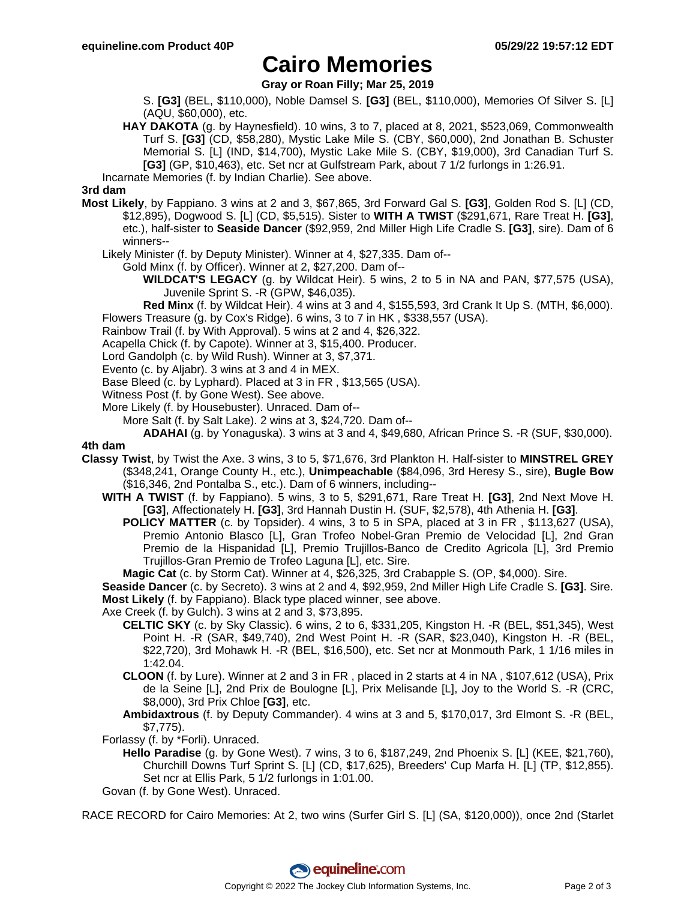## **Cairo Memories**

**Gray or Roan Filly; Mar 25, 2019**

S. **[G3]** (BEL, \$110,000), Noble Damsel S. **[G3]** (BEL, \$110,000), Memories Of Silver S. [L] (AQU, \$60,000), etc.

**HAY DAKOTA** (g. by Haynesfield). 10 wins, 3 to 7, placed at 8, 2021, \$523,069, Commonwealth Turf S. **[G3]** (CD, \$58,280), Mystic Lake Mile S. (CBY, \$60,000), 2nd Jonathan B. Schuster Memorial S. [L] (IND, \$14,700), Mystic Lake Mile S. (CBY, \$19,000), 3rd Canadian Turf S. **[G3]** (GP, \$10,463), etc. Set ncr at Gulfstream Park, about 7 1/2 furlongs in 1:26.91.

Incarnate Memories (f. by Indian Charlie). See above.

## **3rd dam**

**Most Likely**, by Fappiano. 3 wins at 2 and 3, \$67,865, 3rd Forward Gal S. **[G3]**, Golden Rod S. [L] (CD, \$12,895), Dogwood S. [L] (CD, \$5,515). Sister to **WITH A TWIST** (\$291,671, Rare Treat H. **[G3]**, etc.), half-sister to **Seaside Dancer** (\$92,959, 2nd Miller High Life Cradle S. **[G3]**, sire). Dam of 6 winners--

Likely Minister (f. by Deputy Minister). Winner at 4, \$27,335. Dam of--

Gold Minx (f. by Officer). Winner at 2, \$27,200. Dam of--

**WILDCAT'S LEGACY** (g. by Wildcat Heir). 5 wins, 2 to 5 in NA and PAN, \$77,575 (USA), Juvenile Sprint S. -R (GPW, \$46,035).

**Red Minx** (f. by Wildcat Heir). 4 wins at 3 and 4, \$155,593, 3rd Crank It Up S. (MTH, \$6,000). Flowers Treasure (g. by Cox's Ridge). 6 wins, 3 to 7 in HK , \$338,557 (USA).

Rainbow Trail (f. by With Approval). 5 wins at 2 and 4, \$26,322.

Acapella Chick (f. by Capote). Winner at 3, \$15,400. Producer.

Lord Gandolph (c. by Wild Rush). Winner at 3, \$7,371.

Evento (c. by Aljabr). 3 wins at 3 and 4 in MEX.

Base Bleed (c. by Lyphard). Placed at 3 in FR , \$13,565 (USA).

Witness Post (f. by Gone West). See above.

More Likely (f. by Housebuster). Unraced. Dam of--

More Salt (f. by Salt Lake). 2 wins at 3, \$24,720. Dam of--

**ADAHAI** (g. by Yonaguska). 3 wins at 3 and 4, \$49,680, African Prince S. -R (SUF, \$30,000).

#### **4th dam**

- **Classy Twist**, by Twist the Axe. 3 wins, 3 to 5, \$71,676, 3rd Plankton H. Half-sister to **MINSTREL GREY** (\$348,241, Orange County H., etc.), **Unimpeachable** (\$84,096, 3rd Heresy S., sire), **Bugle Bow** (\$16,346, 2nd Pontalba S., etc.). Dam of 6 winners, including--
	- **WITH A TWIST** (f. by Fappiano). 5 wins, 3 to 5, \$291,671, Rare Treat H. **[G3]**, 2nd Next Move H. **[G3]**, Affectionately H. **[G3]**, 3rd Hannah Dustin H. (SUF, \$2,578), 4th Athenia H. **[G3]**.
		- **POLICY MATTER** (c. by Topsider). 4 wins, 3 to 5 in SPA, placed at 3 in FR , \$113,627 (USA), Premio Antonio Blasco [L], Gran Trofeo Nobel-Gran Premio de Velocidad [L], 2nd Gran Premio de la Hispanidad [L], Premio Trujillos-Banco de Credito Agricola [L], 3rd Premio Trujillos-Gran Premio de Trofeo Laguna [L], etc. Sire.

**Magic Cat** (c. by Storm Cat). Winner at 4, \$26,325, 3rd Crabapple S. (OP, \$4,000). Sire.

**Seaside Dancer** (c. by Secreto). 3 wins at 2 and 4, \$92,959, 2nd Miller High Life Cradle S. **[G3]**. Sire. **Most Likely** (f. by Fappiano). Black type placed winner, see above.

Axe Creek (f. by Gulch). 3 wins at 2 and 3, \$73,895.

- **CELTIC SKY** (c. by Sky Classic). 6 wins, 2 to 6, \$331,205, Kingston H. -R (BEL, \$51,345), West Point H. -R (SAR, \$49,740), 2nd West Point H. -R (SAR, \$23,040), Kingston H. -R (BEL, \$22,720), 3rd Mohawk H. -R (BEL, \$16,500), etc. Set ncr at Monmouth Park, 1 1/16 miles in 1:42.04.
- **CLOON** (f. by Lure). Winner at 2 and 3 in FR , placed in 2 starts at 4 in NA , \$107,612 (USA), Prix de la Seine [L], 2nd Prix de Boulogne [L], Prix Melisande [L], Joy to the World S. -R (CRC, \$8,000), 3rd Prix Chloe **[G3]**, etc.
- **Ambidaxtrous** (f. by Deputy Commander). 4 wins at 3 and 5, \$170,017, 3rd Elmont S. -R (BEL, \$7,775).
- Forlassy (f. by \*Forli). Unraced.
	- **Hello Paradise** (g. by Gone West). 7 wins, 3 to 6, \$187,249, 2nd Phoenix S. [L] (KEE, \$21,760), Churchill Downs Turf Sprint S. [L] (CD, \$17,625), Breeders' Cup Marfa H. [L] (TP, \$12,855). Set ncr at Ellis Park, 5 1/2 furlongs in 1:01.00.
- Govan (f. by Gone West). Unraced.

RACE RECORD for Cairo Memories: At 2, two wins (Surfer Girl S. [L] (SA, \$120,000)), once 2nd (Starlet